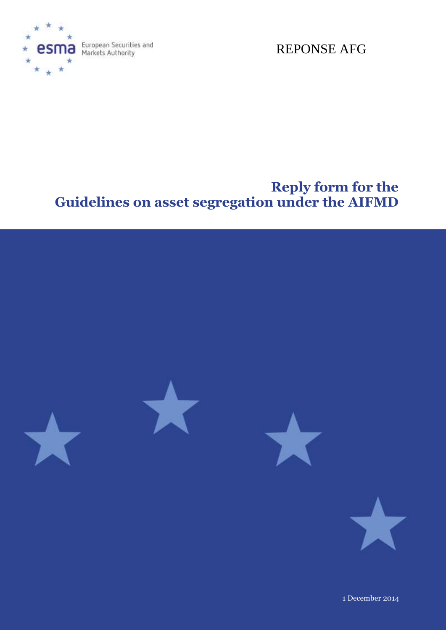

European Securities and<br>Markets Authority

REPONSE AFG

# **Reply form for the Guidelines on asset segregation under the AIFMD**



1 December 2014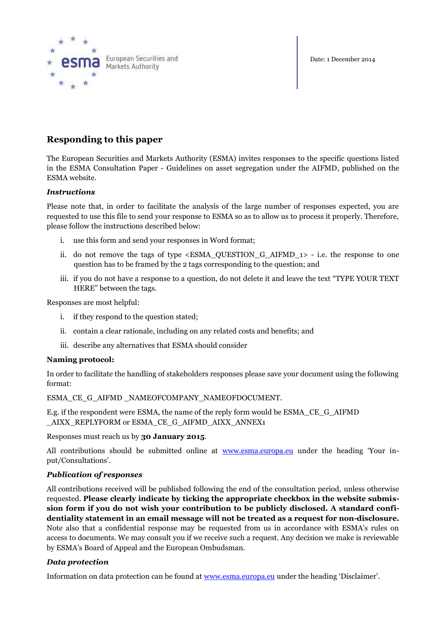



## **Responding to this paper**

The European Securities and Markets Authority (ESMA) invites responses to the specific questions listed in the ESMA Consultation Paper - Guidelines on asset segregation under the AIFMD, published on the ESMA website.

### *Instructions*

Please note that, in order to facilitate the analysis of the large number of responses expected, you are requested to use this file to send your response to ESMA so as to allow us to process it properly. Therefore, please follow the instructions described below:

- i. use this form and send your responses in Word format;
- ii. do not remove the tags of type  $\leq$  ESMA\_QUESTION G\_AIFMD\_1> i.e. the response to one question has to be framed by the 2 tags corresponding to the question; and
- iii. if you do not have a response to a question, do not delete it and leave the text "TYPE YOUR TEXT HERE" between the tags.

Responses are most helpful:

- i. if they respond to the question stated;
- ii. contain a clear rationale, including on any related costs and benefits; and
- iii. describe any alternatives that ESMA should consider

#### **Naming protocol:**

In order to facilitate the handling of stakeholders responses please save your document using the following format:

ESMA CE G AIFMD NAMEOFCOMPANY NAMEOFDOCUMENT.

E.g. if the respondent were ESMA, the name of the reply form would be ESMA\_CE\_G\_AIFMD AIXX\_REPLYFORM or ESMA\_CE\_G\_AIFMD\_AIXX\_ANNEX1

Responses must reach us by **30 January 2015**.

All contributions should be submitted online at **[www.esma.europa.eu](http://www.esma.europa.eu/)** under the heading 'Your input/Consultations'.

#### *Publication of responses*

All contributions received will be published following the end of the consultation period, unless otherwise requested. **Please clearly indicate by ticking the appropriate checkbox in the website submission form if you do not wish your contribution to be publicly disclosed. A standard confidentiality statement in an email message will not be treated as a request for non-disclosure.** Note also that a confidential response may be requested from us in accordance with ESMA's rules on access to documents. We may consult you if we receive such a request. Any decision we make is reviewable by ESMA's Board of Appeal and the European Ombudsman.

#### *Data protection*

Information on data protection can be found at [www.esma.europa.eu](http://www.esma.europa.eu/) under the heading 'Disclaimer'.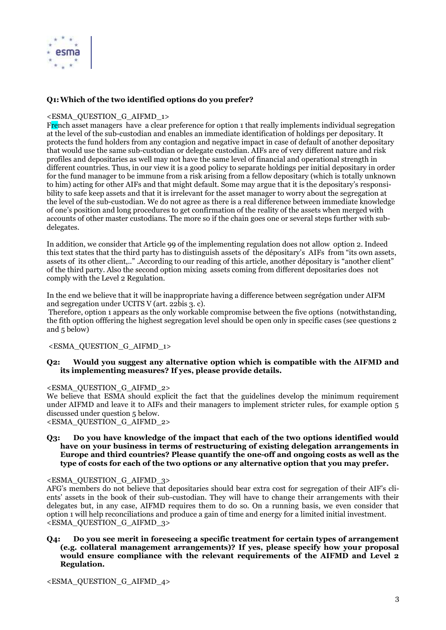

#### **Q1:Which of the two identified options do you prefer?**

#### <ESMA\_QUESTION\_G\_AIFMD\_1>

French asset managers have a clear preference for option 1 that really implements individual segregation at the level of the sub-custodian and enables an immediate identification of holdings per depositary. It protects the fund holders from any contagion and negative impact in case of default of another depositary that would use the same sub-custodian or delegate custodian. AIFs are of very different nature and risk profiles and depositaries as well may not have the same level of financial and operational strength in different countries. Thus, in our view it is a good policy to separate holdings per initial depositary in order for the fund manager to be immune from a risk arising from a fellow depositary (which is totally unknown to him) acting for other AIFs and that might default. Some may argue that it is the depositary's responsibility to safe keep assets and that it is irrelevant for the asset manager to worry about the segregation at the level of the sub-custodian. We do not agree as there is a real difference between immediate knowledge of one's position and long procedures to get confirmation of the reality of the assets when merged with accounts of other master custodians. The more so if the chain goes one or several steps further with subdelegates.

In addition, we consider that Article 99 of the implementing regulation does not allow option 2. Indeed this text states that the third party has to distinguish assets of the dépositary's AIFs from "its own assets, assets of its other client,.." .According to our reading of this article, another dépositary is "another client" of the third party. Also the second option mixing assets coming from different depositaries does not comply with the Level 2 Regulation.

In the end we believe that it will be inappropriate having a difference between segrégation under AIFM and segregation under UCITS V (art. 22bis 3. c).

Therefore, option 1 appears as the only workable compromise between the five options (notwithstanding, the fith option offfering the highest segregation level should be open only in specific cases (see questions 2 and 5 below)

<ESMA\_QUESTION\_G\_AIFMD\_1>

#### **Q2: Would you suggest any alternative option which is compatible with the AIFMD and its implementing measures? If yes, please provide details.**

#### <ESMA\_QUESTION\_G\_AIFMD\_2>

We believe that ESMA should explicit the fact that the guidelines develop the minimum requirement under AIFMD and leave it to AIFs and their managers to implement stricter rules, for example option 5 discussed under question 5 below.

<ESMA\_QUESTION\_G\_AIFMD\_2>

#### **Q3: Do you have knowledge of the impact that each of the two options identified would have on your business in terms of restructuring of existing delegation arrangements in Europe and third countries? Please quantify the one-off and ongoing costs as well as the type of costs for each of the two options or any alternative option that you may prefer.**

#### <ESMA\_QUESTION\_G\_AIFMD\_3>

AFG's members do not believe that depositaries should bear extra cost for segregation of their AIF's clients' assets in the book of their sub-custodian. They will have to change their arrangements with their delegates but, in any case, AIFMD requires them to do so. On a running basis, we even consider that option 1 will help reconciliations and produce a gain of time and energy for a limited initial investment. <ESMA\_QUESTION\_G\_AIFMD\_3>

**Q4: Do you see merit in foreseeing a specific treatment for certain types of arrangement (e.g. collateral management arrangements)? If yes, please specify how your proposal would ensure compliance with the relevant requirements of the AIFMD and Level 2 Regulation.**

<ESMA\_QUESTION\_G\_AIFMD\_4>